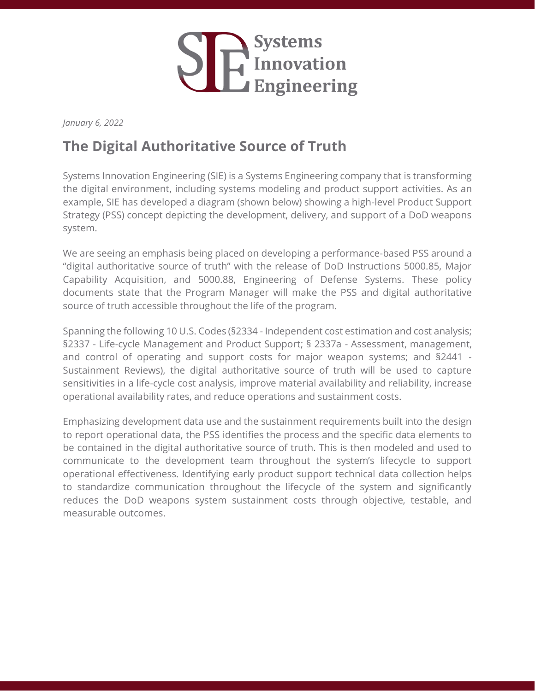

*January 6, 2022*

## **The Digital Authoritative Source of Truth**

Systems Innovation Engineering (SIE) is a Systems Engineering company that is transforming the digital environment, including systems modeling and product support activities. As an example, SIE has developed a diagram (shown below) showing a high-level Product Support Strategy (PSS) concept depicting the development, delivery, and support of a DoD weapons system.

We are seeing an emphasis being placed on developing a performance-based PSS around a "digital authoritative source of truth" with the release of DoD Instructions 5000.85, Major Capability Acquisition, and 5000.88, Engineering of Defense Systems. These policy documents state that the Program Manager will make the PSS and digital authoritative source of truth accessible throughout the life of the program.

Spanning the following 10 U.S. Codes (§2334 - Independent cost estimation and cost analysis; §2337 - Life-cycle Management and Product Support; § 2337a - Assessment, management, and control of operating and support costs for major weapon systems; and §2441 - Sustainment Reviews), the digital authoritative source of truth will be used to capture sensitivities in a life-cycle cost analysis, improve material availability and reliability, increase operational availability rates, and reduce operations and sustainment costs.

Emphasizing development data use and the sustainment requirements built into the design to report operational data, the PSS identifies the process and the specific data elements to be contained in the digital authoritative source of truth. This is then modeled and used to communicate to the development team throughout the system's lifecycle to support operational effectiveness. Identifying early product support technical data collection helps to standardize communication throughout the lifecycle of the system and significantly reduces the DoD weapons system sustainment costs through objective, testable, and measurable outcomes.